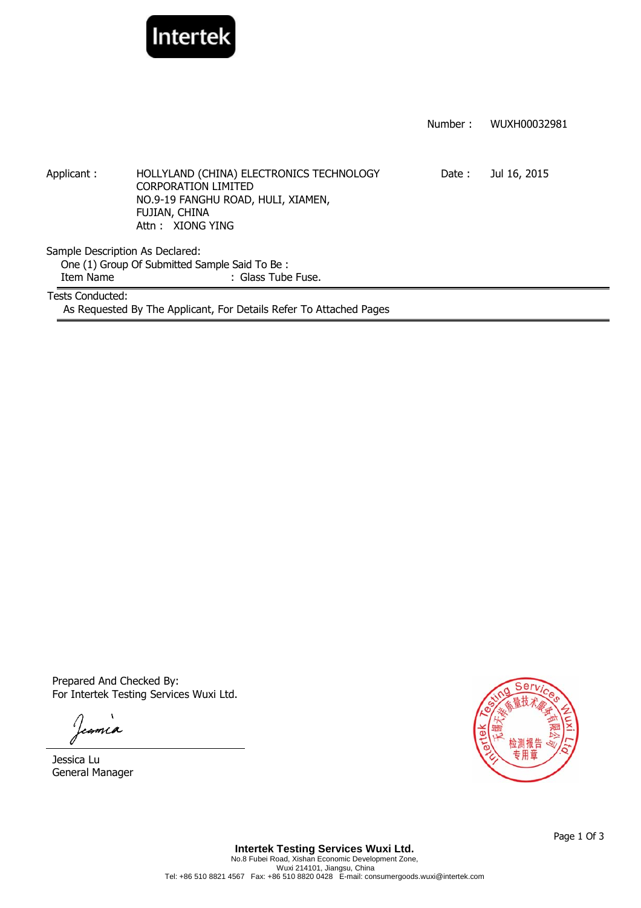

|                  |                                                                                                                                                   | Number: | WUXH00032981 |
|------------------|---------------------------------------------------------------------------------------------------------------------------------------------------|---------|--------------|
| Applicant:       | HOLLYLAND (CHINA) ELECTRONICS TECHNOLOGY<br><b>CORPORATION LIMITED</b><br>NO.9-19 FANGHU ROAD, HULI, XIAMEN,<br>FUJIAN, CHINA<br>Attn: XIONG YING | Date:   | Jul 16, 2015 |
|                  | Sample Description As Declared:                                                                                                                   |         |              |
|                  | One (1) Group Of Submitted Sample Said To Be:                                                                                                     |         |              |
| Item Name        | : Glass Tube Fuse.                                                                                                                                |         |              |
| Tests Conducted: | As Requested By The Applicant, For Details Refer To Attached Pages                                                                                |         |              |

Prepared And Checked By: For Intertek Testing Services Wuxi Ltd.

Jeania

Jessica Lu General Manager

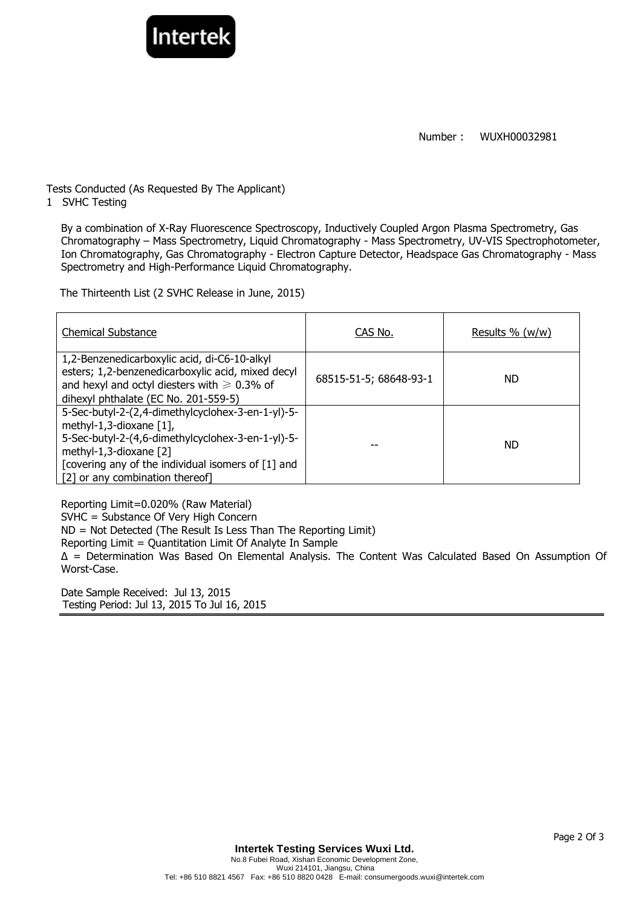



Tests Conducted (As Requested By The Applicant)

Interte

1 SVHC Testing

By a combination of X-Ray Fluorescence Spectroscopy, Inductively Coupled Argon Plasma Spectrometry, Gas Chromatography – Mass Spectrometry, Liquid Chromatography - Mass Spectrometry, UV-VIS Spectrophotometer, Ion Chromatography, Gas Chromatography - Electron Capture Detector, Headspace Gas Chromatography - Mass Spectrometry and High-Performance Liquid Chromatography.

The Thirteenth List (2 SVHC Release in June, 2015)

| <b>Chemical Substance</b>                                                                                                                                                                                                                               | CAS No.                | Results $\%$ (w/w) |
|---------------------------------------------------------------------------------------------------------------------------------------------------------------------------------------------------------------------------------------------------------|------------------------|--------------------|
| 1,2-Benzenedicarboxylic acid, di-C6-10-alkyl<br>esters; 1,2-benzenedicarboxylic acid, mixed decyl<br>and hexyl and octyl diesters with $\geq 0.3\%$ of<br>dihexyl phthalate (EC No. 201-559-5)                                                          | 68515-51-5; 68648-93-1 | ND.                |
| 5-Sec-butyl-2-(2,4-dimethylcyclohex-3-en-1-yl)-5-<br>methyl-1,3-dioxane $[1]$ ,<br>5-Sec-butyl-2-(4,6-dimethylcyclohex-3-en-1-yl)-5-<br>methyl-1,3-dioxane [2]<br>[covering any of the individual isomers of [1] and<br>[2] or any combination thereof] |                        | <b>ND</b>          |

Reporting Limit=0.020% (Raw Material) SVHC = Substance Of Very High Concern ND = Not Detected (The Result Is Less Than The Reporting Limit) Reporting Limit = Quantitation Limit Of Analyte In Sample ∆ = Determination Was Based On Elemental Analysis. The Content Was Calculated Based On Assumption Of Worst-Case.

Date Sample Received: Jul 13, 2015 Testing Period: Jul 13, 2015 To Jul 16, 2015